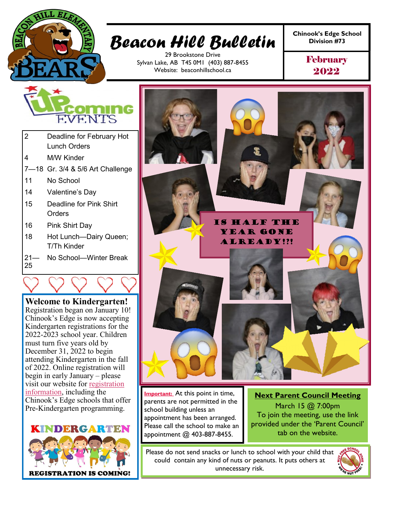

# **Chinook's Edge School** *Beacon Hill Bulletin* **Division #73**

29 Brookstone Drive Sylvan Lake, AB T4S 0M1 (403) 887-8455 Website: beaconhillschool.ca

**February** 2022



- 2 Deadline for February Hot Lunch Orders
- 4 M/W Kinder
- 7—18 Gr. 3/4 & 5/6 Art Challenge
- 11 No School
- 14 Valentine's Day
- 15 Deadline for Pink Shirt **Orders**
- 16 Pink Shirt Day
- 18 Hot Lunch—Dairy Queen; T/Th Kinder
- $21 -$ 25 No School—Winter Break

**Welcome to Kindergarten!** Registration began on January 10! Chinook's Edge is now accepting Kindergarten registrations for the 2022-2023 school year. Children must turn five years old by December 31, 2022 to begin attending Kindergarten in the fall of 2022. Online registration will begin in early January – please visit our website for [registration](https://www.cesd73.ca/parents/register-for-school)  [information,](https://www.cesd73.ca/parents/register-for-school) including the Chinook's Edge schools that offer Pre-Kindergarten programming.





**Important:** At this point in time, parents are not permitted in the school building unless an appointment has been arranged. Please call the school to make an appointment @ 403-887-8455.

**Next Parent Council Meeting** March 15 @ 7:00pm To join the meeting, use the link provided under the 'Parent Council' tab on the website.

Please do not send snacks or lunch to school with your child that could contain any kind of nuts or peanuts. It puts others at unnecessary risk.